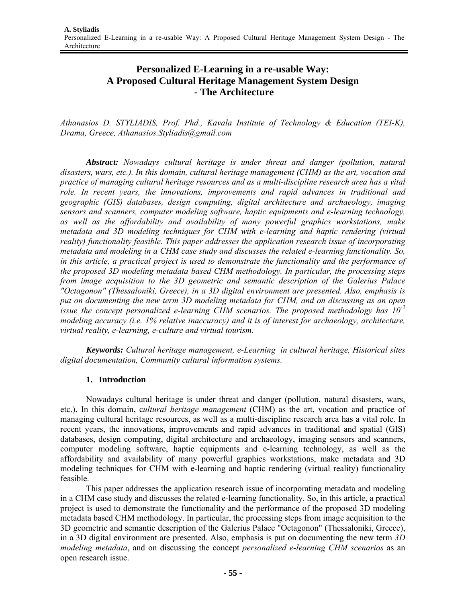# **Personalized E-Learning in a re-usable Way: A Proposed Cultural Heritage Management System Design - The Architecture**

*Athanasios D. STYLIADIS, Prof. Phd., Kavala Institute of Technology & Education (TEI-K), Drama, Greece, Athanasios.Styliadis@gmail.com* 

*Abstract: Nowadays cultural heritage is under threat and danger (pollution, natural disasters, wars, etc.). In this domain, cultural heritage management (CHM) as the art, vocation and practice of managing cultural heritage resources and as a multi-discipline research area has a vital role. In recent years, the innovations, improvements and rapid advances in traditional and geographic (GIS) databases, design computing, digital architecture and archaeology, imaging sensors and scanners, computer modeling software, haptic equipments and e-learning technology, as well as the affordability and availability of many powerful graphics workstations, make metadata and 3D modeling techniques for CHM with e-learning and haptic rendering (virtual reality) functionality feasible. This paper addresses the application research issue of incorporating metadata and modeling in a CHM case study and discusses the related e-learning functionality. So, in this article, a practical project is used to demonstrate the functionality and the performance of the proposed 3D modeling metadata based CHM methodology. In particular, the processing steps from image acquisition to the 3D geometric and semantic description of the Galerius Palace "Octagonon" (Thessaloniki, Greece), in a 3D digital environment are presented. Also, emphasis is put on documenting the new term 3D modeling metadata for CHM, and on discussing as an open issue the concept personalized e-learning CHM scenarios. The proposed methodology has 10-2 modeling accuracy (i.e. 1% relative inaccuracy) and it is of interest for archaeology, architecture, virtual reality, e-learning, e-culture and virtual tourism.* 

*Keywords: Cultural heritage management, e-Learning in cultural heritage, Historical sites digital documentation, Community cultural information systems.* 

## **1. Introduction**

Nowadays cultural heritage is under threat and danger (pollution, natural disasters, wars, etc.). In this domain, c*ultural heritage management* (CHM) as the art, vocation and practice of managing cultural heritage resources, as well as a multi-discipline research area has a vital role. In recent years, the innovations, improvements and rapid advances in traditional and spatial (GIS) databases, design computing, digital architecture and archaeology, imaging sensors and scanners, computer modeling software, haptic equipments and e-learning technology, as well as the affordability and availability of many powerful graphics workstations, make metadata and 3D modeling techniques for CHM with e-learning and haptic rendering (virtual reality) functionality feasible.

This paper addresses the application research issue of incorporating metadata and modeling in a CHM case study and discusses the related e-learning functionality. So, in this article, a practical project is used to demonstrate the functionality and the performance of the proposed 3D modeling metadata based CHM methodology. In particular, the processing steps from image acquisition to the 3D geometric and semantic description of the Galerius Palace "Octagonon" (Thessaloniki, Greece), in a 3D digital environment are presented. Also, emphasis is put on documenting the new term *3D modeling metadata*, and on discussing the concept *personalized e-learning CHM scenarios* as an open research issue.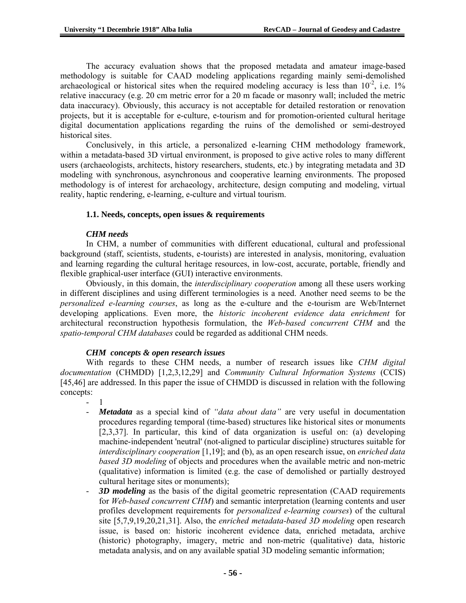The accuracy evaluation shows that the proposed metadata and amateur image-based methodology is suitable for CAAD modeling applications regarding mainly semi-demolished archaeological or historical sites when the required modeling accuracy is less than  $10^{-2}$ , i.e. 1% relative inaccuracy (e.g. 20 cm metric error for a 20 m facade or masonry wall; included the metric data inaccuracy). Obviously, this accuracy is not acceptable for detailed restoration or renovation projects, but it is acceptable for e-culture, e-tourism and for promotion-oriented cultural heritage digital documentation applications regarding the ruins of the demolished or semi-destroyed historical sites.

Conclusively, in this article, a personalized e-learning CHM methodology framework, within a metadata-based 3D virtual environment, is proposed to give active roles to many different users (archaeologists, architects, history researchers, students, etc.) by integrating metadata and 3D modeling with synchronous, asynchronous and cooperative learning environments. The proposed methodology is of interest for archaeology, architecture, design computing and modeling, virtual reality, haptic rendering, e-learning, e-culture and virtual tourism.

### **1.1. Needs, concepts, open issues & requirements**

### *CHM needs*

In CHM, a number of communities with different educational, cultural and professional background (staff, scientists, students, e-tourists) are interested in analysis, monitoring, evaluation and learning regarding the cultural heritage resources, in low-cost, accurate, portable, friendly and flexible graphical-user interface (GUI) interactive environments.

Obviously, in this domain, the *interdisciplinary cooperation* among all these users working in different disciplines and using different terminologies is a need. Another need seems to be the *personalized e-learning courses*, as long as the e-culture and the e-tourism are Web/Internet developing applications. Even more, the *historic incoherent evidence data enrichment* for architectural reconstruction hypothesis formulation, the *Web-based concurrent CHM* and the *spatio-temporal CHM databases* could be regarded as additional CHM needs.

#### *CHM concepts & open research issues*

With regards to these CHM needs, a number of research issues like *CHM digital documentation* (CHMDD) [1,2,3,12,29] and *Community Cultural Information Systems* (CCIS) [45,46] are addressed. In this paper the issue of CHMDD is discussed in relation with the following concepts:

- 1
- *Metadata* as a special kind of *"data about data"* are very useful in documentation procedures regarding temporal (time-based) structures like historical sites or monuments [2,3,37]. In particular, this kind of data organization is useful on: (a) developing machine-independent 'neutral' (not-aligned to particular discipline) structures suitable for *interdisciplinary cooperation* [1,19]; and (b), as an open research issue, on *enriched data based 3D modeling* of objects and procedures when the available metric and non-metric (qualitative) information is limited (e.g. the case of demolished or partially destroyed cultural heritage sites or monuments);
- 3D modeling as the basis of the digital geometric representation (CAAD requirements for *Web-based concurrent CHM*) and semantic interpretation (learning contents and user profiles development requirements for *personalized e-learning courses*) of the cultural site [5,7,9,19,20,21,31]. Also, the *enriched metadata-based 3D modeling* open research issue, is based on: historic incoherent evidence data, enriched metadata, archive (historic) photography, imagery, metric and non-metric (qualitative) data, historic metadata analysis, and on any available spatial 3D modeling semantic information;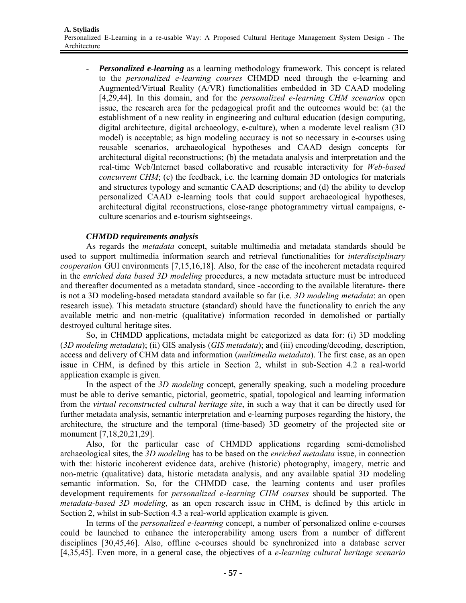*Personalized e-learning* as a learning methodology framework. This concept is related to the *personalized e-learning courses* CHMDD need through the e-learning and Augmented/Virtual Reality (A/VR) functionalities embedded in 3D CAAD modeling [4,29,44]. In this domain, and for the *personalized e-learning CHM scenarios* open issue, the research area for the pedagogical profit and the outcomes would be: (a) the establishment of a new reality in engineering and cultural education (design computing, digital architecture, digital archaeology, e-culture), when a moderate level realism (3D model) is acceptable; as hign modeling accuracy is not so necessary in e-courses using reusable scenarios, archaeological hypotheses and CAAD design concepts for architectural digital reconstructions; (b) the metadata analysis and interpretation and the real-time Web/Internet based collaborative and reusable interactivity for *Web-based concurrent CHM*; (c) the feedback, i.e. the learning domain 3D ontologies for materials and structures typology and semantic CAAD descriptions; and (d) the ability to develop personalized CAAD e-learning tools that could support archaeological hypotheses, architectural digital reconstructions, close-range photogrammetry virtual campaigns, eculture scenarios and e-tourism sightseeings.

## *CHMDD requirements analysis*

As regards the *metadata* concept, suitable multimedia and metadata standards should be used to support multimedia information search and retrieval functionalities for *interdisciplinary cooperation* GUI environments [7,15,16,18]. Also, for the case of the incoherent metadata required in the *enriched data based 3D modeling* procedures, a new metadata srtucture must be introduced and thereafter documented as a metadata standard, since -according to the available literature- there is not a 3D modeling-based metadata standard available so far (i.e. *3D modeling metadata*: an open research issue). This metadata structure (standard) should have the functionality to enrich the any available metric and non-metric (qualitative) information recorded in demolished or partially destroyed cultural heritage sites.

So, in CHMDD applications, metadata might be categorized as data for: (i) 3D modeling (*3D modeling metadata*); (ii) GIS analysis (*GIS metadata*); and (iii) encoding/decoding, description, access and delivery of CHM data and information (*multimedia metadata*). The first case, as an open issue in CHM, is defined by this article in Section 2, whilst in sub-Section 4.2 a real-world application example is given.

In the aspect of the *3D modeling* concept, generally speaking, such a modeling procedure must be able to derive semantic, pictorial, geometric, spatial, topological and learning information from the *virtual reconstructed cultural heritage site*, in such a way that it can be directly used for further metadata analysis, semantic interpretation and e-learning purposes regarding the history, the architecture, the structure and the temporal (time-based) 3D geometry of the projected site or monument [7,18,20,21,29].

Also, for the particular case of CHMDD applications regarding semi-demolished archaeological sites, the *3D modeling* has to be based on the *enriched metadata* issue, in connection with the: historic incoherent evidence data, archive (historic) photography, imagery, metric and non-metric (qualitative) data, historic metadata analysis, and any available spatial 3D modeling semantic information. So, for the CHMDD case, the learning contents and user profiles development requirements for *personalized e-learning CHM courses* should be supported. The *metadata-based 3D modeling*, as an open research issue in CHM, is defined by this article in Section 2, whilst in sub-Section 4.3 a real-world application example is given.

In terms of the *personalized e-learning* concept, a number of personalized online e-courses could be launched to enhance the interoperability among users from a number of different disciplines [30,45,46]. Also, offline e-courses should be synchronized into a database server [4,35,45]. Even more, in a general case, the objectives of a *e-learning cultural heritage scenario*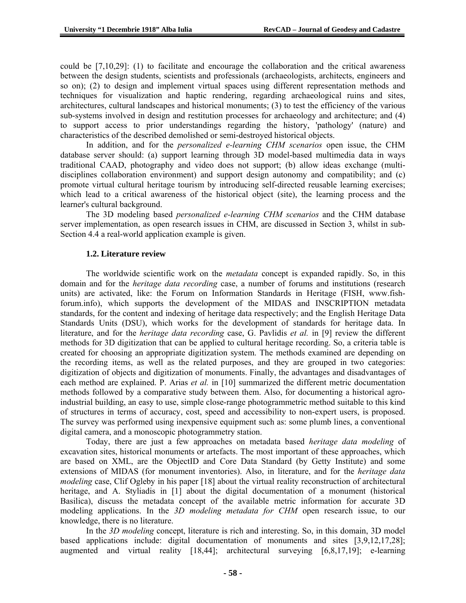could be [7,10,29]: (1) to facilitate and encourage the collaboration and the critical awareness between the design students, scientists and professionals (archaeologists, architects, engineers and so on); (2) to design and implement virtual spaces using different representation methods and techniques for visualization and haptic rendering, regarding archaeological ruins and sites, architectures, cultural landscapes and historical monuments; (3) to test the efficiency of the various sub-systems involved in design and restitution processes for archaeology and architecture; and (4) to support access to prior understandings regarding the history, 'pathology' (nature) and characteristics of the described demolished or semi-destroyed historical objects.

In addition, and for the *personalized e-learning CHM scenarios* open issue, the CHM database server should: (a) support learning through 3D model-based multimedia data in ways traditional CAAD, photography and video does not support; (b) allow ideas exchange (multidisciplines collaboration environment) and support design autonomy and compatibility; and (c) promote virtual cultural heritage tourism by introducing self-directed reusable learning exercises; which lead to a critical awareness of the historical object (site), the learning process and the learner's cultural background.

The 3D modeling based *personalized e-learning CHM scenarios* and the CHM database server implementation, as open research issues in CHM, are discussed in Section 3, whilst in sub-Section 4.4 a real-world application example is given.

### **1.2. Literature review**

The worldwide scientific work on the *metadata* concept is expanded rapidly. So, in this domain and for the *heritage data recording* case, a number of forums and institutions (research units) are activated, like: the Forum on Information Standards in Heritage (FISH, www.fishforum.info), which supports the development of the MIDAS and INSCRIPTION metadata standards, for the content and indexing of heritage data respectively; and the English Heritage Data Standards Units (DSU), which works for the development of standards for heritage data. In literature, and for the *heritage data recording* case, G. Pavlidis *et al.* in [9] review the different methods for 3D digitization that can be applied to cultural heritage recording. So, a criteria table is created for choosing an appropriate digitization system. The methods examined are depending on the recording items, as well as the related purposes, and they are grouped in two categories: digitization of objects and digitization of monuments. Finally, the advantages and disadvantages of each method are explained. P. Arias *et al.* in [10] summarized the different metric documentation methods followed by a comparative study between them. Also, for documenting a historical agroindustrial building, an easy to use, simple close-range photogrammetric method suitable to this kind of structures in terms of accuracy, cost, speed and accessibility to non-expert users, is proposed. The survey was performed using inexpensive equipment such as: some plumb lines, a conventional digital camera, and a monoscopic photogrammetry station.

Today, there are just a few approaches on metadata based *heritage data modeling* of excavation sites, historical monuments or artefacts. The most important of these approaches, which are based on XML, are the ObjectID and Core Data Standard (by Getty Institute) and some extensions of MIDAS (for monument inventories). Also, in literature, and for the *heritage data modeling* case, Clif Ogleby in his paper [18] about the virtual reality reconstruction of architectural heritage, and A. Styliadis in [1] about the digital documentation of a monument (historical Basilica), discuss the metadata concept of the available metric information for accurate 3D modeling applications. In the *3D modeling metadata for CHM* open research issue, to our knowledge, there is no literature.

In the *3D modeling* concept, literature is rich and interesting. So, in this domain, 3D model based applications include: digital documentation of monuments and sites [3,9,12,17,28]; augmented and virtual reality [18,44]; architectural surveying [6,8,17,19]; e-learning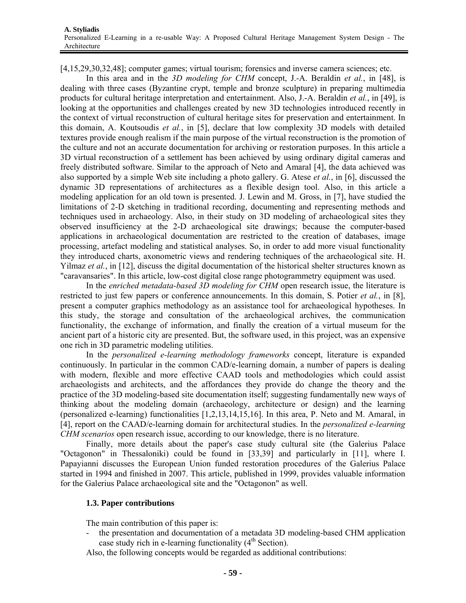[4,15,29,30,32,48]; computer games; virtual tourism; forensics and inverse camera sciences; etc.

In this area and in the *3D modeling for CHM* concept, J.-A. Beraldin *et al.*, in [48], is dealing with three cases (Byzantine crypt, temple and bronze sculpture) in preparing multimedia products for cultural heritage interpretation and entertainment. Also, J.-A. Beraldin *et al.*, in [49], is looking at the opportunities and challenges created by new 3D technologies introduced recently in the context of virtual reconstruction of cultural heritage sites for preservation and entertainment. In this domain, A. Koutsoudis *et al.*, in [5], declare that low complexity 3D models with detailed textures provide enough realism if the main purpose of the virtual reconstruction is the promotion of the culture and not an accurate documentation for archiving or restoration purposes. In this article a 3D virtual reconstruction of a settlement has been achieved by using ordinary digital cameras and freely distributed software. Similar to the approach of Neto and Amaral [4], the data achieved was also supported by a simple Web site including a photo gallery. G. Atese *et al.*, in [6], discussed the dynamic 3D representations of architectures as a flexible design tool. Also, in this article a modeling application for an old town is presented. J. Lewin and M. Gross, in [7], have studied the limitations of 2-D sketching in traditional recording, documenting and representing methods and techniques used in archaeology. Also, in their study on 3D modeling of archaeological sites they observed insufficiency at the 2-D archaeological site drawings; because the computer-based applications in archaeological documentation are restricted to the creation of databases, image processing, artefact modeling and statistical analyses. So, in order to add more visual functionality they introduced charts, axonometric views and rendering techniques of the archaeological site. H. Yilmaz *et al.*, in [12], discuss the digital documentation of the historical shelter structures known as "caravansaries". In this article, low-cost digital close range photogrammetry equipment was used.

In the *enriched metadata-based 3D modeling for CHM* open research issue, the literature is restricted to just few papers or conference announcements. In this domain, S. Potier *et al.*, in [8], present a computer graphics methodology as an assistance tool for archaeological hypotheses. In this study, the storage and consultation of the archaeological archives, the communication functionality, the exchange of information, and finally the creation of a virtual museum for the ancient part of a historic city are presented. But, the software used, in this project, was an expensive one rich in 3D parametric modeling utilities.

In the *personalized e-learning methodology frameworks* concept, literature is expanded continuously. In particular in the common CAD/e-learning domain, a number of papers is dealing with modern, flexible and more effective CAAD tools and methodologies which could assist archaeologists and architects, and the affordances they provide do change the theory and the practice of the 3D modeling-based site documentation itself; suggesting fundamentally new ways of thinking about the modeling domain (archaeology, architecture or design) and the learning (personalized e-learning) functionalities [1,2,13,14,15,16]. In this area, P. Neto and M. Amaral, in [4], report on the CAAD/e-learning domain for architectural studies. In the *personalized e-learning CHM scenarios* open research issue, according to our knowledge, there is no literature.

Finally, more details about the paper's case study cultural site (the Galerius Palace "Octagonon" in Thessaloniki) could be found in [33,39] and particularly in [11], where I. Papayianni discusses the European Union funded restoration procedures of the Galerius Palace started in 1994 and finished in 2007. This article, published in 1999, provides valuable information for the Galerius Palace archaeological site and the "Octagonon" as well.

## **1.3. Paper contributions**

The main contribution of this paper is:

- the presentation and documentation of a metadata 3D modeling-based CHM application case study rich in e-learning functionality  $(4<sup>th</sup> Section)$ .

Also, the following concepts would be regarded as additional contributions: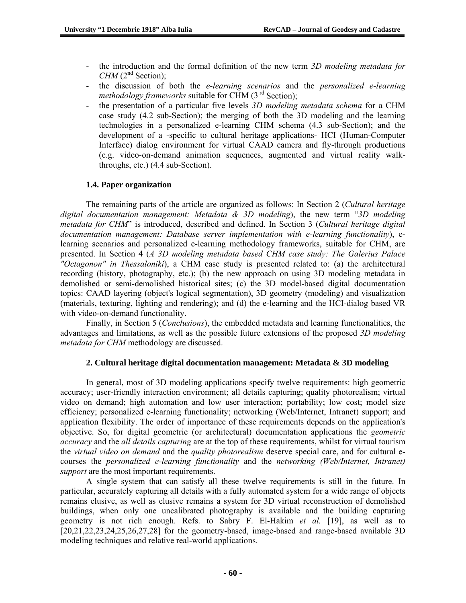- the introduction and the formal definition of the new term *3D modeling metadata for CHM* ( $2<sup>nd</sup>$  Section);
- the discussion of both the *e-learning scenarios* and the *personalized e-learning methodology frameworks* suitable for CHM (3<sup>rd</sup> Section);
- the presentation of a particular five levels *3D modeling metadata schema* for a CHM case study (4.2 sub-Section); the merging of both the 3D modeling and the learning technologies in a personalized e-learning CHM schema (4.3 sub-Section); and the development of a -specific to cultural heritage applications- HCI (Human-Computer Interface) dialog environment for virtual CAAD camera and fly-through productions (e.g. video-on-demand animation sequences, augmented and virtual reality walkthroughs, etc.) (4.4 sub-Section).

## **1.4. Paper organization**

The remaining parts of the article are organized as follows: In Section 2 (*Cultural heritage digital documentation management: Metadata & 3D modeling*), the new term "*3D modeling metadata for CHM*" is introduced, described and defined. In Section 3 (*Cultural heritage digital documentation management: Database server implementation with e-learning functionality*), elearning scenarios and personalized e-learning methodology frameworks, suitable for CHM, are presented. In Section 4 (*A 3D modeling metadata based CHM case study: The Galerius Palace "Octagonon" in Thessaloniki*), a CHM case study is presented related to: (a) the architectural recording (history, photography, etc.); (b) the new approach on using 3D modeling metadata in demolished or semi-demolished historical sites; (c) the 3D model-based digital documentation topics: CAAD layering (object's logical segmentation), 3D geometry (modeling) and visualization (materials, texturing, lighting and rendering); and (d) the e-learning and the HCI-dialog based VR with video-on-demand functionality.

Finally, in Section 5 (*Conclusions*), the embedded metadata and learning functionalities, the advantages and limitations, as well as the possible future extensions of the proposed *3D modeling metadata for CHM* methodology are discussed.

## **2. Cultural heritage digital documentation management: Metadata & 3D modeling**

In general, most of 3D modeling applications specify twelve requirements: high geometric accuracy; user-friendly interaction environment; all details capturing; quality photorealism; virtual video on demand; high automation and low user interaction; portability; low cost; model size efficiency; personalized e-learning functionality; networking (Web/Internet, Intranet) support; and application flexibility. The order of importance of these requirements depends on the application's objective. So, for digital geometric (or architectural) documentation applications the *geometric accuracy* and the *all details capturing* are at the top of these requirements, whilst for virtual tourism the *virtual video on demand* and the *quality photorealism* deserve special care, and for cultural ecourses the *personalized e-learning functionality* and the *networking (Web/Internet, Intranet) support* are the most important requirements.

A single system that can satisfy all these twelve requirements is still in the future. In particular, accurately capturing all details with a fully automated system for a wide range of objects remains elusive, as well as elusive remains a system for 3D virtual reconstruction of demolished buildings, when only one uncalibrated photography is available and the building capturing geometry is not rich enough. Refs. to Sabry F. El-Hakim *et al.* [19], as well as to [20,21,22,23,24,25,26,27,28] for the geometry-based, image-based and range-based available 3D modeling techniques and relative real-world applications.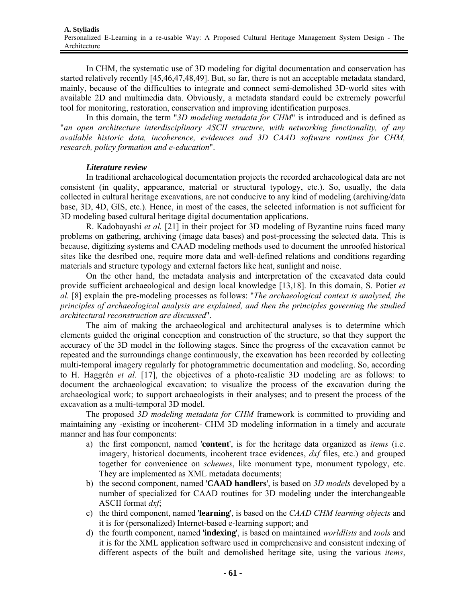In CHM, the systematic use of 3D modeling for digital documentation and conservation has started relatively recently [45,46,47,48,49]. But, so far, there is not an acceptable metadata standard, mainly, because of the difficulties to integrate and connect semi-demolished 3D-world sites with available 2D and multimedia data. Obviously, a metadata standard could be extremely powerful tool for monitoring, restoration, conservation and improving identification purposes.

In this domain, the term "*3D modeling metadata for CHM*" is introduced and is defined as "*an open architecture interdisciplinary ASCII structure, with networking functionality, of any available historic data, incoherence, evidences and 3D CAAD software routines for CHM, research, policy formation and e-education*".

### *Literature review*

In traditional archaeological documentation projects the recorded archaeological data are not consistent (in quality, appearance, material or structural typology, etc.). So, usually, the data collected in cultural heritage excavations, are not conducive to any kind of modeling (archiving/data base, 3D, 4D, GIS, etc.). Hence, in most of the cases, the selected information is not sufficient for 3D modeling based cultural heritage digital documentation applications.

R. Kadobayashi *et al.* [21] in their project for 3D modeling of Byzantine ruins faced many problems on gathering, archiving (image data bases) and post-processing the selected data. This is because, digitizing systems and CAAD modeling methods used to document the unroofed historical sites like the desribed one, require more data and well-defined relations and conditions regarding materials and structure typology and external factors like heat, sunlight and noise.

On the other hand, the metadata analysis and interpretation of the excavated data could provide sufficient archaeological and design local knowledge [13,18]. In this domain, S. Potier *et al.* [8] explain the pre-modeling processes as follows: "*The archaeological context is analyzed, the principles of archaeological analysis are explained, and then the principles governing the studied architectural reconstruction are discussed*".

The aim of making the archaeological and architectural analyses is to determine which elements guided the original conception and construction of the structure, so that they support the accuracy of the 3D model in the following stages. Since the progress of the excavation cannot be repeated and the surroundings change continuously, the excavation has been recorded by collecting multi-temporal imagery regularly for photogrammetric documentation and modeling. So, according to H. Haggrén *et al.* [17], the objectives of a photo-realistic 3D modeling are as follows: to document the archaeological excavation; to visualize the process of the excavation during the archaeological work; to support archaeologists in their analyses; and to present the process of the excavation as a multi-temporal 3D model.

The proposed *3D modeling metadata for CHM* framework is committed to providing and maintaining any -existing or incoherent- CHM 3D modeling information in a timely and accurate manner and has four components:

- a) the first component, named '**content**', is for the heritage data organized as *items* (i.e. imagery, historical documents, incoherent trace evidences, *dxf* files, etc.) and grouped together for convenience on *schemes*, like monument type, monument typology, etc. They are implemented as XML metadata documents;
- b) the second component, named '**CAAD handlers**', is based on *3D models* developed by a number of specialized for CAAD routines for 3D modeling under the interchangeable ASCII format *dxf*;
- c) the third component, named '**learning**', is based on the *CAAD CHM learning objects* and it is for (personalized) Internet-based e-learning support; and
- d) the fourth component, named '**indexing**', is based on maintained *worldlists* and *tools* and it is for the XML application software used in comprehensive and consistent indexing of different aspects of the built and demolished heritage site, using the various *items*,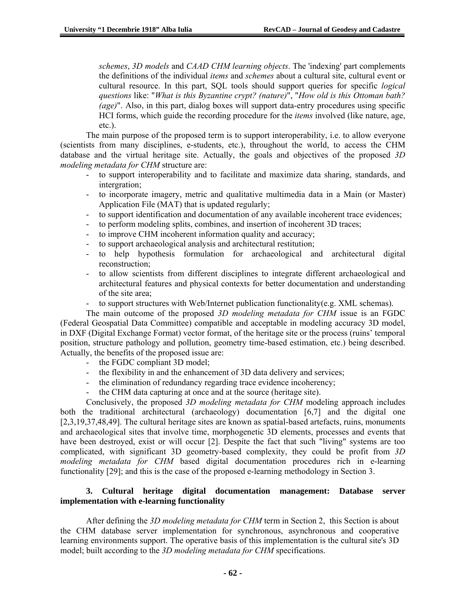*schemes*, *3D models* and *CAAD CHM learning objects*. The 'indexing' part complements the definitions of the individual *items* and *schemes* about a cultural site, cultural event or cultural resource. In this part, SQL tools should support queries for specific *logical questions* like: "*What is this Byzantine crypt? (nature)*", "*How old is this Ottoman bath? (age)*". Also, in this part, dialog boxes will support data-entry procedures using specific HCI forms, which guide the recording procedure for the *items* involved (like nature, age, etc.).

The main purpose of the proposed term is to support interoperability, i.e. to allow everyone (scientists from many disciplines, e-students, etc.), throughout the world, to access the CHM database and the virtual heritage site. Actually, the goals and objectives of the proposed *3D modeling metadata for CHM* structure are:

- to support interoperability and to facilitate and maximize data sharing, standards, and intergration;
- to incorporate imagery, metric and qualitative multimedia data in a Main (or Master) Application File (MAT) that is updated regularly;
- to support identification and documentation of any available incoherent trace evidences;
- to perform modeling splits, combines, and insertion of incoherent 3D traces;
- to improve CHM incoherent information quality and accuracy;
- to support archaeological analysis and architectural restitution;
- to help hypothesis formulation for archaeological and architectural digital reconstruction;
- to allow scientists from different disciplines to integrate different archaeological and architectural features and physical contexts for better documentation and understanding of the site area;
- to support structures with Web/Internet publication functionality(e.g. XML schemas).

The main outcome of the proposed *3D modeling metadata for CHM* issue is an FGDC (Federal Geospatial Data Committee) compatible and acceptable in modeling accuracy 3D model, in DXF (Digital Exchange Format) vector format, of the heritage site or the process (ruins' temporal position, structure pathology and pollution, geometry time-based estimation, etc.) being described. Actually, the benefits of the proposed issue are:

- the FGDC compliant 3D model;
- the flexibility in and the enhancement of 3D data delivery and services;
- the elimination of redundancy regarding trace evidence incoherency;
- the CHM data capturing at once and at the source (heritage site).

Conclusively, the proposed *3D modeling metadata for CHM* modeling approach includes both the traditional architectural (archaeology) documentation [6,7] and the digital one [2,3,19,37,48,49]. The cultural heritage sites are known as spatial-based artefacts, ruins, monuments and archaeological sites that involve time, morphogenetic 3D elements, processes and events that have been destroyed, exist or will occur [2]. Despite the fact that such "living" systems are too complicated, with significant 3D geometry-based complexity, they could be profit from *3D modeling metadata for CHM* based digital documentation procedures rich in e-learning functionality [29]; and this is the case of the proposed e-learning methodology in Section 3.

### **3. Cultural heritage digital documentation management: Database server implementation with e-learning functionality**

After defining the *3D modeling metadata for CHM* term in Section 2, this Section is about the CHM database server implementation for synchronous, asynchronous and cooperative learning environments support. The operative basis of this implementation is the cultural site's 3D model; built according to the *3D modeling metadata for CHM* specifications.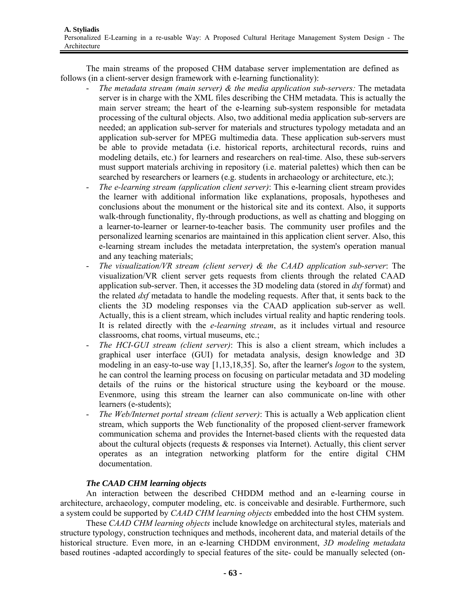The main streams of the proposed CHM database server implementation are defined as follows (in a client-server design framework with e-learning functionality):

- The metadata stream (main server) & the media application sub-servers: The metadata server is in charge with the XML files describing the CHM metadata. This is actually the main server stream; the heart of the e-learning sub-system responsible for metadata processing of the cultural objects. Also, two additional media application sub-servers are needed; an application sub-server for materials and structures typology metadata and an application sub-server for MPEG multimedia data. These application sub-servers must be able to provide metadata (i.e. historical reports, architectural records, ruins and modeling details, etc.) for learners and researchers on real-time. Also, these sub-servers must support materials archiving in repository (i.e. material palettes) which then can be searched by researchers or learners (e.g. students in archaeology or architecture, etc.);
- *The e-learning stream (application client server)*: This e-learning client stream provides the learner with additional information like explanations, proposals, hypotheses and conclusions about the monument or the historical site and its context. Also, it supports walk-through functionality, fly-through productions, as well as chatting and blogging on a learner-to-learner or learner-to-teacher basis. The community user profiles and the personalized learning scenarios are maintained in this application client server. Also, this e-learning stream includes the metadata interpretation, the system's operation manual and any teaching materials;
- The visualization/VR stream (client server) & the CAAD application sub-server: The visualization/VR client server gets requests from clients through the related CAAD application sub-server. Then, it accesses the 3D modeling data (stored in *dxf* format) and the related *dxf* metadata to handle the modeling requests. After that, it sents back to the clients the 3D modeling responses via the CAAD application sub-server as well. Actually, this is a client stream, which includes virtual reality and haptic rendering tools. It is related directly with the *e-learning stream*, as it includes virtual and resource classrooms, chat rooms, virtual museums, etc.;
- *The HCI-GUI stream (client server)*: This is also a client stream, which includes a graphical user interface (GUI) for metadata analysis, design knowledge and 3D modeling in an easy-to-use way [1,13,18,35]. So, after the learner's *logon* to the system, he can control the learning process on focusing on particular metadata and 3D modeling details of the ruins or the historical structure using the keyboard or the mouse. Evenmore, using this stream the learner can also communicate on-line with other learners (e-students);
- The Web/Internet portal stream (client server): This is actually a Web application client stream, which supports the Web functionality of the proposed client-server framework communication schema and provides the Internet-based clients with the requested data about the cultural objects (requests & responses via Internet). Actually, this client server operates as an integration networking platform for the entire digital CHM documentation.

## *The CAAD CHM learning objects*

 An interaction between the described CHDDM method and an e-learning course in architecture, archaeology, computer modeling, etc. is conceivable and desirable. Furthermore, such a system could be supported by *CAAD CHM learning objects* embedded into the host CHM system.

 These *CAAD CHM learning objects* include knowledge on architectural styles, materials and structure typology, construction techniques and methods, incoherent data, and material details οf the historical structure. Even more, in an e-learning CHDDM environment, *3D modeling metadata* based routines -adapted accordingly to special features of the site- could be manually selected (on-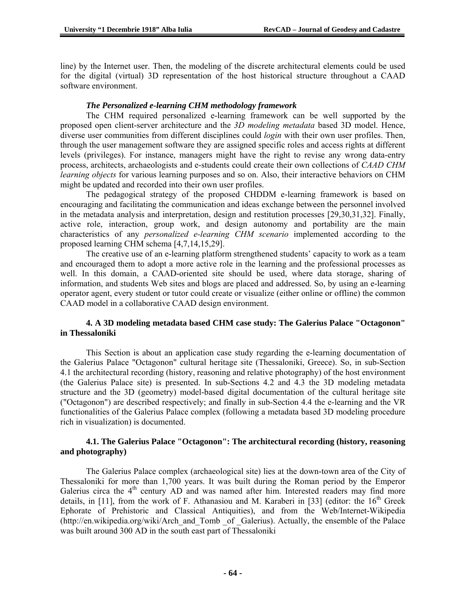line) by the Internet user. Then, the modeling of the discrete architectural elements could be used for the digital (virtual) 3D representation of the host historical structure throughout a CAAD software environment.

#### *The Personalized e-learning CHM methodology framework*

The CHM required personalized e-learning framework can be well supported by the proposed open client-server architecture and the *3D modeling metadata* based 3D model. Hence, diverse user communities from different disciplines could *login* with their own user profiles. Then, through the user management software they are assigned specific roles and access rights at different levels (privileges). For instance, managers might have the right to revise any wrong data-entry process, architects, archaeologists and e-students could create their own collections of *CAAD CHM learning objects* for various learning purposes and so on. Also, their interactive behaviors on CHM might be updated and recorded into their own user profiles.

The pedagogical strategy of the proposed CHDDM e-learning framework is based on encouraging and facilitating the communication and ideas exchange between the personnel involved in the metadata analysis and interpretation, design and restitution processes [29,30,31,32]. Finally, active role, interaction, group work, and design autonomy and portability are the main characteristics of any *personalized e-learning CHM scenario* implemented according to the proposed learning CHM schema [4,7,14,15,29].

 The creative use of an e-learning platform strengthened students' capacity to work as a team and encouraged them to adopt a more active role in the learning and the professional processes as well. In this domain, a CAAD-oriented site should be used, where data storage, sharing of information, and students Web sites and blogs are placed and addressed. So, by using an e-learning operator agent, every student or tutor could create or visualize (either online or offline) the common CAAD model in a collaborative CAAD design environment.

#### **4. A 3D modeling metadata based CHM case study: The Galerius Palace "Octagonon" in Thessaloniki**

 This Section is about an application case study regarding the e-learning documentation of the Galerius Palace "Octagonon" cultural heritage site (Thessaloniki, Greece). So, in sub-Section 4.1 the architectural recording (history, reasoning and relative photography) of the host environment (the Galerius Palace site) is presented. In sub-Sections 4.2 and 4.3 the 3D modeling metadata structure and the 3D (geometry) model-based digital documentation of the cultural heritage site ("Octagonon") are described respectively; and finally in sub-Section 4.4 the e-learning and the VR functionalities of the Galerius Palace complex (following a metadata based 3D modeling procedure rich in visualization) is documented.

#### **4.1. The Galerius Palace "Octagonon": The architectural recording (history, reasoning and photography)**

The Galerius Palace complex (archaeological site) lies at the down-town area of the City of Thessaloniki for more than 1,700 years. It was built during the Roman period by the Emperor Galerius circa the  $4<sup>th</sup>$  century AD and was named after him. Interested readers may find more details, in [11], from the work of F. Athanasiou and M. Karaberi in [33] (editor: the  $16<sup>th</sup>$  Greek Ephorate of Prehistoric and Classical Antiquities), and from the Web/Internet-Wikipedia (http://en.wikipedia.org/wiki/Arch\_and\_Tomb \_of \_Galerius). Actually, the ensemble of the Palace was built around 300 AD in the south east part of Thessaloniki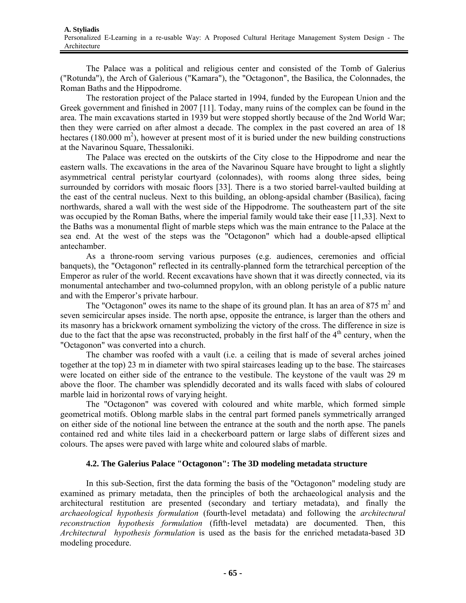The Palace was a political and religious center and consisted of the Tomb of Galerius ("Rotunda"), the Arch of Galerious ("Kamara"), the "Octagonon", the Basilica, the Colonnades, the Roman Baths and the Hippodrome.

The restoration project of the Palace started in 1994, funded by the European Union and the Greek government and finished in 2007 [11]. Today, many ruins of the complex can be found in the area. The main excavations started in 1939 but were stopped shortly because of the 2nd World War; then they were carried on after almost a decade. The complex in the past covered an area of 18 hectares (180.000  $\text{m}^2$ ), however at present most of it is buried under the new building constructions at the Navarinou Square, Thessaloniki.

The Palace was erected on the outskirts of the City close to the Hippodrome and near the eastern walls. The excavations in the area of the Navarinou Square have brought to light a slightly asymmetrical central peristylar courtyard (colonnades), with rooms along three sides, being surrounded by corridors with mosaic floors [33]. There is a two storied barrel-vaulted building at the east of the central nucleus. Next to this building, an oblong-apsidal chamber (Basilica), facing northwards, shared a wall with the west side of the Hippodrome. The southeastern part of the site was occupied by the Roman Baths, where the imperial family would take their ease [11,33]. Next to the Baths was a monumental flight of marble steps which was the main entrance to the Palace at the sea end. At the west of the steps was the "Octagonon" which had a double-apsed elliptical antechamber.

As a throne-room serving various purposes (e.g. audiences, ceremonies and official banquets), the "Octagonon" reflected in its centrally-planned form the tetrarchical perception of the Emperor as ruler of the world. Recent excavations have shown that it was directly connected, via its monumental antechamber and two-columned propylon, with an oblong peristyle of a public nature and with the Emperor's private harbour.

The "Octagonon" owes its name to the shape of its ground plan. It has an area of 875  $m<sup>2</sup>$  and seven semicircular apses inside. The north apse, opposite the entrance, is larger than the others and its masonry has a brickwork ornament symbolizing the victory of the cross. The difference in size is due to the fact that the apse was reconstructed, probably in the first half of the  $4<sup>th</sup>$  century, when the "Octagonon" was converted into a church.

The chamber was roofed with a vault (i.e. a ceiling that is made of several arches joined together at the top) 23 m in diameter with two spiral staircases leading up to the base. The staircases were located on either side of the entrance to the vestibule. The keystone of the vault was 29 m above the floor. The chamber was splendidly decorated and its walls faced with slabs of coloured marble laid in horizontal rows of varying height.

The "Octagonon" was covered with coloured and white marble, which formed simple geometrical motifs. Oblong marble slabs in the central part formed panels symmetrically arranged on either side of the notional line between the entrance at the south and the north apse. The panels contained red and white tiles laid in a checkerboard pattern or large slabs of different sizes and colours. The apses were paved with large white and coloured slabs of marble.

#### **4.2. The Galerius Palace "Octagonon": The 3D modeling metadata structure**

 In this sub-Section, first the data forming the basis of the "Octagonon" modeling study are examined as primary metadata, then the principles of both the archaeological analysis and the architectural restitution are presented (secondary and tertiary metadata), and finally the *archaeological hypothesis formulation* (fourth-level metadata) and following the *architectural reconstruction hypothesis formulation* (fifth-level metadata) are documented. Then, this *Architectural hypothesis formulation* is used as the basis for the enriched metadata-based 3D modeling procedure.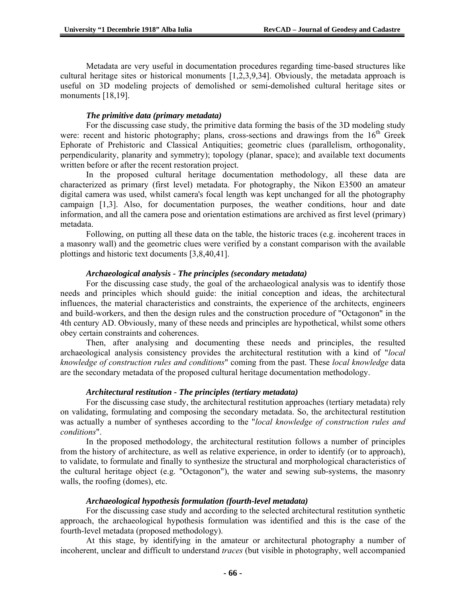Metadata are very useful in documentation procedures regarding time-based structures like cultural heritage sites or historical monuments [1,2,3,9,34]. Obviously, the metadata approach is useful on 3D modeling projects of demolished or semi-demolished cultural heritage sites or monuments [18,19].

#### *The primitive data (primary metadata)*

For the discussing case study, the primitive data forming the basis of the 3D modeling study were: recent and historic photography; plans, cross-sections and drawings from the  $16<sup>th</sup>$  Greek Ephorate of Prehistoric and Classical Antiquities; geometric clues (parallelism, orthogonality, perpendicularity, planarity and symmetry); topology (planar, space); and available text documents written before or after the recent restoration project.

 In the proposed cultural heritage documentation methodology, all these data are characterized as primary (first level) metadata. For photography, the Nikon E3500 an amateur digital camera was used, whilst camera's focal length was kept unchanged for all the photography campaign [1,3]. Also, for documentation purposes, the weather conditions, hour and date information, and all the camera pose and orientation estimations are archived as first level (primary) metadata.

 Following, on putting all these data on the table, the historic traces (e.g. incoherent traces in a masonry wall) and the geometric clues were verified by a constant comparison with the available plottings and historic text documents [3,8,40,41].

#### *Archaeological analysis - The principles (secondary metadata)*

 For the discussing case study, the goal of the archaeological analysis was to identify those needs and principles which should guide: the initial conception and ideas, the architectural influences, the material characteristics and constraints, the experience of the architects, engineers and build-workers, and then the design rules and the construction procedure of "Octagonon" in the 4th century AD. Obviously, many of these needs and principles are hypothetical, whilst some others obey certain constraints and coherences.

 Then, after analysing and documenting these needs and principles, the resulted archaeological analysis consistency provides the architectural restitution with a kind of "*local knowledge of construction rules and conditions*" coming from the past. These *local knowledge* data are the secondary metadata of the proposed cultural heritage documentation methodology.

#### *Architectural restitution - The principles (tertiary metadata)*

 For the discussing case study, the architectural restitution approaches (tertiary metadata) rely on validating, formulating and composing the secondary metadata. So, the architectural restitution was actually a number of syntheses according to the "*local knowledge of construction rules and conditions*".

 In the proposed methodology, the architectural restitution follows a number of principles from the history of architecture, as well as relative experience, in order to identify (or to approach), to validate, to formulate and finally to synthesize the structural and morphological characteristics of the cultural heritage object (e.g. "Octagonon"), the water and sewing sub-systems, the masonry walls, the roofing (domes), etc.

#### *Archaeological hypothesis formulation (fourth-level metadata)*

 For the discussing case study and according to the selected architectural restitution synthetic approach, the archaeological hypothesis formulation was identified and this is the case of the fourth-level metadata (proposed methodology).

 At this stage, by identifying in the amateur or architectural photography a number of incoherent, unclear and difficult to understand *traces* (but visible in photography, well accompanied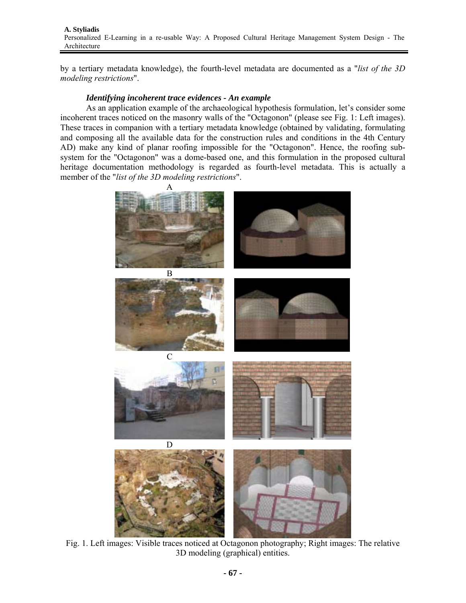**A. Styliadis**  Personalized E-Learning in a re-usable Way: A Proposed Cultural Heritage Management System Design - The Architecture

by a tertiary metadata knowledge), the fourth-level metadata are documented as a "*list of the 3D modeling restrictions*".

#### *Identifying incoherent trace evidences - An example*

 As an application example of the archaeological hypothesis formulation, let's consider some incoherent traces noticed on the masonry walls of the "Octagonon" (please see Fig. 1: Left images). These traces in companion with a tertiary metadata knowledge (obtained by validating, formulating and composing all the available data for the construction rules and conditions in the 4th Century AD) make any kind of planar roofing impossible for the "Octagonon". Hence, the roofing subsystem for the "Octagonon" was a dome-based one, and this formulation in the proposed cultural heritage documentation methodology is regarded as fourth-level metadata. This is actually a member of the "*list of the 3D modeling restrictions*".



Fig. 1. Left images: Visible traces noticed at Octagonon photography; Right images: The relative 3D modeling (graphical) entities.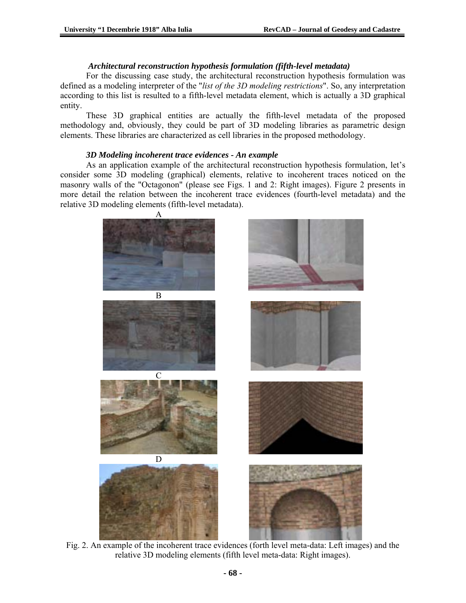## *Architectural reconstruction hypothesis formulation (fifth-level metadata)*

 For the discussing case study, the architectural reconstruction hypothesis formulation was defined as a modeling interpreter of the "*list of the 3D modeling restrictions*". So, any interpretation according to this list is resulted to a fifth-level metadata element, which is actually a 3D graphical entity.

 These 3D graphical entities are actually the fifth-level metadata of the proposed methodology and, obviously, they could be part of 3D modeling libraries as parametric design elements. These libraries are characterized as cell libraries in the proposed methodology.

### *3D Modeling incoherent trace evidences - An example*

 As an application example of the architectural reconstruction hypothesis formulation, let's consider some 3D modeling (graphical) elements, relative to incoherent traces noticed on the masonry walls of the "Octagonon" (please see Figs. 1 and 2: Right images). Figure 2 presents in more detail the relation between the incoherent trace evidences (fourth-level metadata) and the relative 3D modeling elements (fifth-level metadata).



Fig. 2. An example of the incoherent trace evidences (forth level meta-data: Left images) and the relative 3D modeling elements (fifth level meta-data: Right images).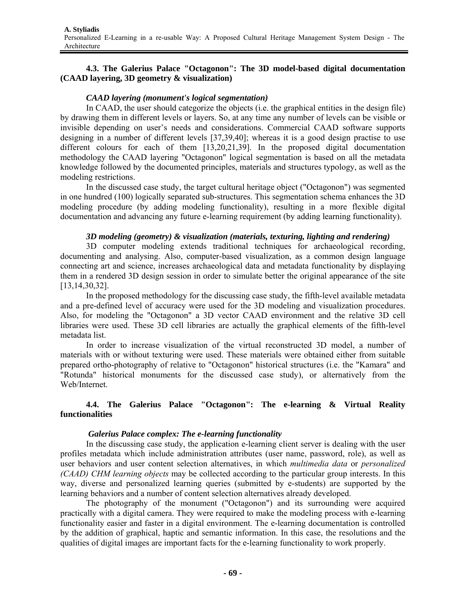### **4.3. The Galerius Palace "Octagonon": The 3D model-based digital documentation (CAAD layering, 3D geometry & visualization)**

### *CAAD layering (monument's logical segmentation)*

In CAAD, the user should categorize the objects (i.e. the graphical entities in the design file) by drawing them in different levels or layers. So, at any time any number of levels can be visible or invisible depending on user's needs and considerations. Commercial CAAD software supports designing in a number of different levels [37,39,40]; whereas it is a good design practise to use different colours for each of them [13,20,21,39]. In the proposed digital documentation methodology the CAAD layering "Octagonon" logical segmentation is based on all the metadata knowledge followed by the documented principles, materials and structures typology, as well as the modeling restrictions.

In the discussed case study, the target cultural heritage object ("Octagonon") was segmented in one hundred (100) logically separated sub-structures. This segmentation schema enhances the 3D modeling procedure (by adding modeling functionality), resulting in a more flexible digital documentation and advancing any future e-learning requirement (by adding learning functionality).

### *3D modeling (geometry) & visualization (materials, texturing, lighting and rendering)*

3D computer modeling extends traditional techniques for archaeological recording, documenting and analysing. Also, computer-based visualization, as a common design language connecting art and science, increases archaeological data and metadata functionality by displaying them in a rendered 3D design session in order to simulate better the original appearance of the site [13,14,30,32].

 In the proposed methodology for the discussing case study, the fifth-level available metadata and a pre-defined level of accuracy were used for the 3D modeling and visualization procedures. Also, for modeling the "Octagonon" a 3D vector CAAD environment and the relative 3D cell libraries were used. These 3D cell libraries are actually the graphical elements of the fifth-level metadata list.

 In order to increase visualization of the virtual reconstructed 3D model, a number of materials with or without texturing were used. These materials were obtained either from suitable prepared ortho-photography of relative to "Octagonon" historical structures (i.e. the "Kamara" and "Rotunda" historical monuments for the discussed case study), or alternatively from the Web/Internet.

## **4.4. The Galerius Palace "Octagonon": The e-learning & Virtual Reality functionalities**

#### *Galerius Palace complex: The e-learning functionality*

 In the discussing case study, the application e-learning client server is dealing with the user profiles metadata which include administration attributes (user name, password, role), as well as user behaviors and user content selection alternatives, in which *multimedia data* or *personalized (CAAD) CHM learning objects* may be collected according to the particular group interests. In this way, diverse and personalized learning queries (submitted by e-students) are supported by the learning behaviors and a number of content selection alternatives already developed.

 The photography of the monument ("Octagonon") and its surrounding were acquired practically with a digital camera. They were required to make the modeling process with e-learning functionality easier and faster in a digital environment. The e-learning documentation is controlled by the addition of graphical, haptic and semantic information. In this case, the resolutions and the qualities of digital images are important facts for the e-learning functionality to work properly.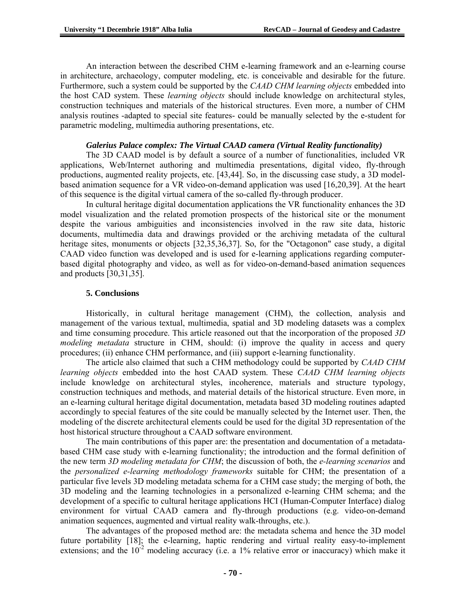Αn interaction between the described CHM e-learning framework and an e-learning course in architecture, archaeology, computer modeling, etc. is conceivable and desirable for the future. Furthermore, such a system could be supported by the *CAAD CHM learning objects* embedded into the host CAD system. These *learning objects* should include knowledge on architectural styles, construction techniques and materials οf the historical structures. Even more, a number of CHM analysis routines -adapted to special site features- could be manually selected by the e-student for parametric modeling, multimedia authoring presentations, etc.

#### *Galerius Palace complex: The Virtual CAAD camera (Virtual Reality functionality)*

 The 3D CAAD model is by default a source of a number of functionalities, included VR applications, Web/Internet authoring and multimedia presentations, digital video, fly-through productions, augmented reality projects, etc. [43,44]. So, in the discussing case study, a 3D modelbased animation sequence for a VR video-on-demand application was used [16,20,39]. At the heart of this sequence is the digital virtual camera of the so-called fly-through producer.

 In cultural heritage digital documentation applications the VR functionality enhances the 3D model visualization and the related promotion prospects of the historical site or the monument despite the various ambiguities and inconsistencies involved in the raw site data, historic documents, multimedia data and drawings provided or the archiving metadata of the cultural heritage sites, monuments or objects [32,35,36,37]. So, for the "Octagonon" case study, a digital CAAD video function was developed and is used for e-learning applications regarding computerbased digital photography and video, as well as for video-on-demand-based animation sequences and products [30,31,35].

#### **5. Conclusions**

Historically, in cultural heritage management (CHM), the collection, analysis and management of the various textual, multimedia, spatial and 3D modeling datasets was a complex and time consuming procedure. This article reasoned out that the incorporation of the proposed *3D modeling metadata* structure in CHM, should: (i) improve the quality in access and query procedures; (ii) enhance CHM performance, and (iii) support e-learning functionality.

 The article also claimed that such a CHM methodology could be supported by *CAAD CHM learning objects* embedded into the host CAAD system. These *CAAD CHM learning objects* include knowledge on architectural styles, incoherence, materials and structure typology, construction techniques and methods, and material details οf the historical structure. Even more, in an e-learning cultural heritage digital documentation, metadata based 3D modeling routines adapted accordingly to special features of the site could be manually selected by the Internet user. Then, the modeling of the discrete architectural elements could be used for the digital 3D representation of the host historical structure throughout a CAAD software environment.

 The main contributions of this paper are: the presentation and documentation of a metadatabased CHM case study with e-learning functionality; the introduction and the formal definition of the new term *3D modeling metadata for CHM*; the discussion of both, the *e-learning scenarios* and the *personalized e-learning methodology frameworks* suitable for CHM; the presentation of a particular five levels 3D modeling metadata schema for a CHM case study; the merging of both, the 3D modeling and the learning technologies in a personalized e-learning CHM schema; and the development of a specific to cultural heritage applications HCI (Human-Computer Interface) dialog environment for virtual CAAD camera and fly-through productions (e.g. video-on-demand animation sequences, augmented and virtual reality walk-throughs, etc.).

 The advantages of the proposed method are: the metadata schema and hence the 3D model future portability [18]; the e-learning, haptic rendering and virtual reality easy-to-implement extensions; and the  $10^{-2}$  modeling accuracy (i.e. a 1% relative error or inaccuracy) which make it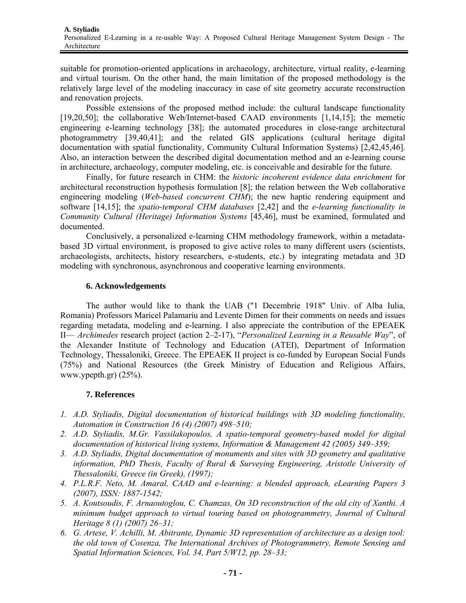suitable for promotion-oriented applications in archaeology, architecture, virtual reality, e-learning and virtual tourism. On the other hand, the main limitation of the proposed methodology is the relatively large level of the modeling inaccuracy in case of site geometry accurate reconstruction and renovation projects.

Possible extensions of the proposed method include: the cultural landscape functionality [19,20,50]; the collaborative Web/Internet-based CAAD environments [1,14,15]; the memetic engineering e-learning technology [38]; the automated procedures in close-range architectural photogrammetry [39,40,41]; and the related GIS applications (cultural heritage digital documentation with spatial functionality, Community Cultural Information Systems) [2,42,45,46]. Also, an interaction between the described digital documentation method and an e-learning course in architecture, archaeology, computer modeling, etc. is conceivable and desirable for the future.

 Finally, for future research in CHM: the *historic incoherent evidence data enrichment* for architectural reconstruction hypothesis formulation [8]; the relation between the Web collaborative engineering modeling (*Web-based concurrent CHM*); the new haptic rendering equipment and software [14,15]; the *spatio-temporal CHM databases* [2,42] and the *e-learning functionality in Community Cultural (Heritage) Information Systems* [45,46], must be examined, formulated and documented.

 Conclusively, a personalized e-learning CHM methodology framework, within a metadatabased 3D virtual environment, is proposed to give active roles to many different users (scientists, archaeologists, architects, history researchers, e-students, etc.) by integrating metadata and 3D modeling with synchronous, asynchronous and cooperative learning environments.

#### **6. Acknowledgements**

The author would like to thank the UAB ("1 Decembrie 1918" Univ. of Alba Iulia, Romania) Professors Maricel Palamariu and Levente Dimen for their comments on needs and issues regarding metadata, modeling and e-learning. I also appreciate the contribution of the EPEAEK II— *Archimedes* research project (action 2–2-17), "*Personalized Learning in a Reusable Way*", of the Alexander Institute of Technology and Education (ATEI), Department of Information Technology, Thessaloniki, Greece. The EPEAEK II project is co-funded by European Social Funds (75%) and National Resources (the Greek Ministry of Education and Religious Affairs, www.ypepth.gr) (25%).

## **7. References**

- *1. A.D. Styliadis, Digital documentation of historical buildings with 3D modeling functionality, Automation in Construction 16 (4) (2007) 498–510;*
- *2. A.D. Styliadis, M.Gr. Vassilakopoulos, A spatio-temporal geometry-based model for digital documentation of historical living systems, Information & Management 42 (2005) 349–359;*
- *3. A.D. Styliadis, Digital documentation of monuments and sites with 3D geometry and qualitative information, PhD Thesis, Faculty of Rural & Surveying Engineering, Aristotle University of Thessaloniki, Greece (in Greek), (1997);*
- *4. P.L.R.F. Neto, M. Amaral, CAAD and e-learning: a blended approach, eLearning Papers 3 (2007), ISSN: 1887-1542;*
- *5. A. Koutsoudis, F. Arnaoutoglou, C. Chamzas, On 3D reconstruction of the old city of Xanthi. A minimum budget approach to virtual touring based on photogrammetry, Journal of Cultural Heritage 8 (1) (2007) 26–31;*
- *6. G. Artese, V. Achilli, M. Abitrante, Dynamic 3D representation of architecture as a design tool: the old town of Cosenza, The International Archives of Photogrammetry, Remote Sensing and Spatial Information Sciences, Vol. 34, Part 5/W12, pp. 28–33;*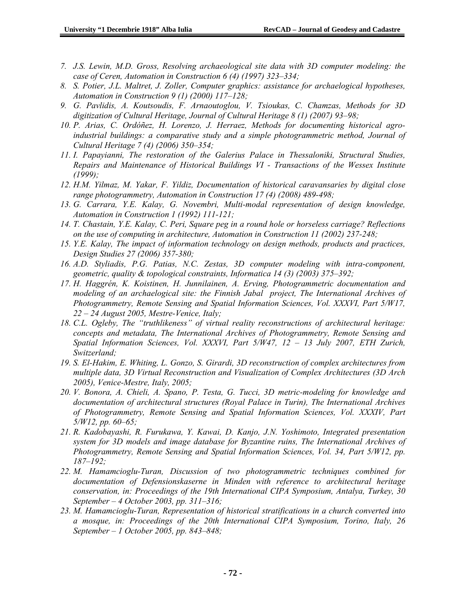- *7. J.S. Lewin, M.D. Gross, Resolving archaeological site data with 3D computer modeling: the case of Ceren, Automation in Construction 6 (4) (1997) 323–334;*
- *8. S. Potier, J.L. Maltret, J. Zoller, Computer graphics: assistance for archaelogical hypotheses, Automation in Construction 9 (1) (2000) 117–128;*
- *9. G. Pavlidis, A. Koutsoudis, F. Arnaoutoglou, V. Tsioukas, C. Chamzas, Methods for 3D digitization of Cultural Heritage, Journal of Cultural Heritage 8 (1) (2007) 93–98;*
- *10. P. Arias, C. Ordóñez, H. Lorenzo, J. Herraez, Methods for documenting historical agroindustrial buildings: a comparative study and a simple photogrammetric method, Journal of Cultural Heritage 7 (4) (2006) 350–354;*
- *11. I. Papayianni, The restoration of the Galerius Palace in Thessaloniki, Structural Studies, Repairs and Maintenance of Historical Buildings VI - Transactions of the Wessex Institute (1999);*
- *12. H.M. Yilmaz, M. Yakar, F. Yildiz, Documentation of historical caravansaries by digital close range photogrammetry, Automation in Construction 17 (4) (2008) 489-498;*
- *13. G. Carrara, Y.E. Kalay, G. Novembri, Multi-modal representation of design knowledge, Automation in Construction 1 (1992) 111-121;*
- *14. T. Chastain, Y.E. Kalay, C. Peri, Square peg in a round hole or horseless carriage? Reflections on the use of computing in architecture, Automation in Construction 11 (2002) 237-248;*
- *15. Y.E. Kalay, The impact of information technology on design methods, products and practices, Design Studies 27 (2006) 357-380;*
- *16. A.D. Styliadis, P.G. Patias, N.C. Zestas, 3D computer modeling with intra-component, geometric, quality & topological constraints, Informatica 14 (3) (2003) 375–392;*
- *17. H. Haggrén, K. Koistinen, H. Junnilainen, A. Erving, Photogrammetric documentation and modeling of an archaelogical site: the Finnish Jabal project, The International Archives of Photogrammetry, Remote Sensing and Spatial Information Sciences, Vol. XXXVI, Part 5/W17, 22 – 24 August 2005, Mestre-Venice, Italy;*
- *18. C.L. Ogleby, The "truthlikeness" of virtual reality reconstructions of architectural heritage: concepts and metadata, The International Archives of Photogrammetry, Remote Sensing and Spatial Information Sciences, Vol. XXXVI, Part 5/W47, 12 – 13 July 2007, ETH Zurich, Switzerland;*
- *19. S. El-Hakim, E. Whiting, L. Gonzo, S. Girardi, 3D reconstruction of complex architectures from multiple data, 3D Virtual Reconstruction and Visualization of Complex Architectures (3D Arch 2005), Venice-Mestre, Italy, 2005;*
- *20. V. Bonora, A. Chieli, A. Spano, P. Testa, G. Tucci, 3D metric-modeling for knowledge and documentation of architectural structures (Royal Palace in Turin), The International Archives of Photogrammetry, Remote Sensing and Spatial Information Sciences, Vol. XXXIV, Part 5/W12, pp. 60–65;*
- *21. R. Kadobayashi, R. Furukawa, Y. Kawai, D. Kanjo, J.N. Yoshimoto, Integrated presentation system for 3D models and image database for Byzantine ruins, The International Archives of Photogrammetry, Remote Sensing and Spatial Information Sciences, Vol. 34, Part 5/W12, pp. 187–192;*
- *22. M. Hamamcioglu-Turan, Discussion of two photogrammetric techniques combined for documentation of Defensionskaserne in Minden with reference to architectural heritage conservation, in: Proceedings of the 19th International CIPA Symposium, Antalya, Turkey, 30 September – 4 October 2003, pp. 311–316;*
- *23. M. Hamamcioglu-Turan, Representation of historical stratifications in a church converted into a mosque, in: Proceedings of the 20th International CIPA Symposium, Torino, Italy, 26 September – 1 October 2005, pp. 843–848;*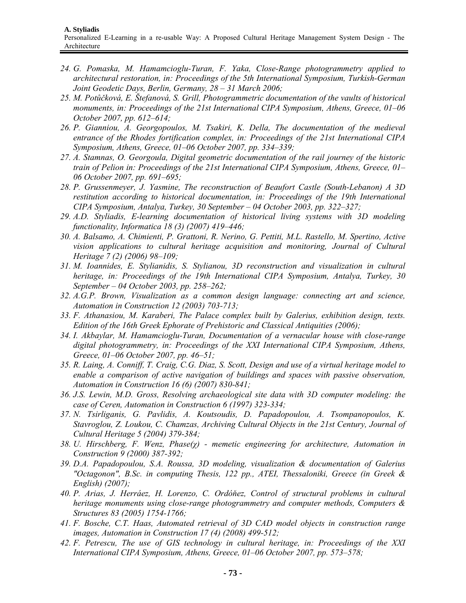- *24. G. Pomaska, M. Hamamcioglu-Turan, F. Yaka, Close-Range photogrammetry applied to architectural restoration, in: Proceedings of the 5th International Symposium, Turkish-German Joint Geodetic Days, Berlin, Germany, 28 – 31 March 2006;*
- *25. M. Potůčková, E. Štefanová, S. Grill, Photogrammetric documentation of the vaults of historical monuments, in: Proceedings of the 21st International CIPA Symposium, Athens, Greece, 01–06 October 2007, pp. 612–614;*
- *26. P. Gianniou, A. Georgopoulos, M. Tsakiri, K. Della, The documentation of the medieval entrance of the Rhodes fortification complex, in: Proceedings of the 21st International CIPA Symposium, Athens, Greece, 01–06 October 2007, pp. 334–339;*
- *27. A. Stamnas, O. Georgoula, Digital geometric documentation of the rail journey of the historic train of Pelion in: Proceedings of the 21st International CIPA Symposium, Athens, Greece, 01– 06 October 2007, pp. 691–695;*
- *28. P. Grussenmeyer, J. Yasmine, The reconstruction of Beaufort Castle (South-Lebanon) A 3D restitution according to historical documentation, in: Proceedings of the 19th International CIPA Symposium, Antalya, Turkey, 30 September – 04 October 2003, pp. 322–327;*
- *29. A.D. Styliadis, E-learning documentation of historical living systems with 3D modeling functionality, Informatica 18 (3) (2007) 419–446;*
- *30. A. Balsamo, A. Chimienti, P. Grattoni, R. Nerino, G. Pettiti, M.L. Rastello, M. Spertino, Active vision applications to cultural heritage acquisition and monitoring, Journal of Cultural Heritage 7 (2) (2006) 98–109;*
- *31. M. Ioannides, E. Stylianidis, S. Stylianou, 3D reconstruction and visualization in cultural heritage, in: Proceedings of the 19th International CIPA Symposium, Antalya, Turkey, 30 September – 04 October 2003, pp. 258–262;*
- *32. A.G.P. Brown, Visualization as a common design language: connecting art and science, Automation in Construction 12 (2003) 703-713;*
- *33. F. Athanasiou, M. Karaberi, The Palace complex built by Galerius, exhibition design, texts. Edition of the 16th Greek Ephorate of Prehistoric and Classical Antiquities (2006);*
- *34. I. Akbaylar, M. Hamamcioglu-Turan, Documentation of a vernacular house with close-range digital photogrammetry, in: Proceedings of the XXI International CIPA Symposium, Athens, Greece, 01–06 October 2007, pp. 46–51;*
- *35. R. Laing, A. Conniff, T. Craig, C.G. Diaz, S. Scott, Design and use of a virtual heritage model to enable a comparison of active navigation of buildings and spaces with passive observation, Automation in Construction 16 (6) (2007) 830-841;*
- *36. J.S. Lewin, M.D. Gross, Resolving archaeological site data with 3D computer modeling: the case of Ceren, Automation in Construction 6 (1997) 323-334;*
- *37. N. Tsirliganis, G. Pavlidis, A. Koutsoudis, D. Papadopoulou, A. Tsompanopoulos, K. Stavroglou, Z. Loukou, C. Chamzas, Archiving Cultural Objects in the 21st Century, Journal of Cultural Heritage 5 (2004) 379-384;*
- *38. U. Hirschberg, F. Wenz, Phase(χ) memetic engineering for architecture, Automation in Construction 9 (2000) 387-392;*
- *39. D.A. Papadopoulou, S.A. Roussa, 3D modeling, visualization & documentation of Galerius "Octagonon", B.Sc. in computing Thesis, 122 pp., ATEI, Thessaloniki, Greece (in Greek & English) (2007);*
- *40. P. Arias, J. Herráez, H. Lorenzo, C. Ordóňez, Control of structural problems in cultural heritage monuments using close-range photogrammetry and computer methods, Computers & Structures 83 (2005) 1754-1766;*
- *41. F. Bosche, C.T. Haas, Automated retrieval of 3D CAD model objects in construction range images, Automation in Construction 17 (4) (2008) 499-512;*
- *42. F. Petrescu, The use of GIS technology in cultural heritage, in: Proceedings of the XXI International CIPA Symposium, Athens, Greece, 01–06 October 2007, pp. 573–578;*